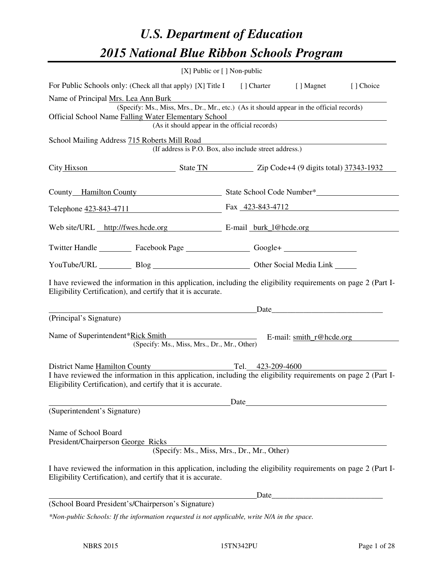# *U.S. Department of Education 2015 National Blue Ribbon Schools Program*

|                                                                                                                                                                                                                                          | $[X]$ Public or $[ ]$ Non-public |                   |                                                                     |           |
|------------------------------------------------------------------------------------------------------------------------------------------------------------------------------------------------------------------------------------------|----------------------------------|-------------------|---------------------------------------------------------------------|-----------|
| For Public Schools only: (Check all that apply) [X] Title I [] Charter [] Magnet                                                                                                                                                         |                                  |                   |                                                                     | [] Choice |
| Name of Principal Mrs. Lea Ann Burk<br>(Specify: Ms., Miss, Mrs., Dr., Mr., etc.) (As it should appear in the official records)<br>Official School Name Falling Water Elementary School<br>(As it should appear in the official records) |                                  |                   |                                                                     |           |
| School Mailing Address 715 Roberts Mill Road<br>(If address is P.O. Box, also include street address.)                                                                                                                                   |                                  |                   |                                                                     |           |
| City Hixson State TN Zip Code+4 (9 digits total) 37343-1932                                                                                                                                                                              |                                  |                   |                                                                     |           |
| County Hamilton County State School Code Number*                                                                                                                                                                                         |                                  |                   |                                                                     |           |
| Telephone 423-843-4711 Fax 423-843-4712                                                                                                                                                                                                  |                                  |                   |                                                                     |           |
| Web site/URL http://fwes.hcde.org E-mail burk 1@hcde.org                                                                                                                                                                                 |                                  |                   |                                                                     |           |
| Twitter Handle ___________ Facebook Page ___________________ Google+ ____________                                                                                                                                                        |                                  |                   |                                                                     |           |
| YouTube/URL Blog Blog Cher Social Media Link                                                                                                                                                                                             |                                  |                   |                                                                     |           |
| I have reviewed the information in this application, including the eligibility requirements on page 2 (Part I-<br>Eligibility Certification), and certify that it is accurate.                                                           |                                  |                   |                                                                     |           |
| Date                                                                                                                                                                                                                                     |                                  |                   |                                                                     |           |
| (Principal's Signature)                                                                                                                                                                                                                  |                                  |                   |                                                                     |           |
| Name of Superintendent*Rick Smith<br>(Specify: Ms., Miss, Mrs., Dr., Mr., Other)                                                                                                                                                         |                                  |                   | $E$ -mail: $\frac{\text{smith}}{\text{m} \cdot \text{m}}$ ehede.org |           |
| District Name Hamilton County<br>I have reviewed the information in this application, including the eligibility requirements on page 2 (Part I-<br>Eligibility Certification), and certify that it is accurate.                          |                                  | Tel. 423-209-4600 |                                                                     |           |
|                                                                                                                                                                                                                                          | Date                             |                   |                                                                     |           |
| (Superintendent's Signature)<br>Name of School Board<br>President/Chairperson George Ricks<br>(Specify: Ms., Miss, Mrs., Dr., Mr., Other)                                                                                                |                                  |                   |                                                                     |           |
| I have reviewed the information in this application, including the eligibility requirements on page 2 (Part I-<br>Eligibility Certification), and certify that it is accurate.                                                           |                                  |                   |                                                                     |           |
|                                                                                                                                                                                                                                          |                                  | Date_             |                                                                     |           |
| (School Board President's/Chairperson's Signature)                                                                                                                                                                                       |                                  |                   |                                                                     |           |
| *Non-public Schools: If the information requested is not applicable, write N/A in the space.                                                                                                                                             |                                  |                   |                                                                     |           |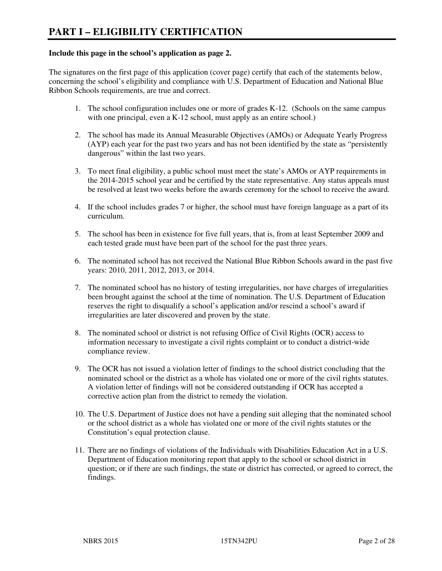#### **Include this page in the school's application as page 2.**

The signatures on the first page of this application (cover page) certify that each of the statements below, concerning the school's eligibility and compliance with U.S. Department of Education and National Blue Ribbon Schools requirements, are true and correct.

- 1. The school configuration includes one or more of grades K-12. (Schools on the same campus with one principal, even a K-12 school, must apply as an entire school.)
- 2. The school has made its Annual Measurable Objectives (AMOs) or Adequate Yearly Progress (AYP) each year for the past two years and has not been identified by the state as "persistently dangerous" within the last two years.
- 3. To meet final eligibility, a public school must meet the state's AMOs or AYP requirements in the 2014-2015 school year and be certified by the state representative. Any status appeals must be resolved at least two weeks before the awards ceremony for the school to receive the award.
- 4. If the school includes grades 7 or higher, the school must have foreign language as a part of its curriculum.
- 5. The school has been in existence for five full years, that is, from at least September 2009 and each tested grade must have been part of the school for the past three years.
- 6. The nominated school has not received the National Blue Ribbon Schools award in the past five years: 2010, 2011, 2012, 2013, or 2014.
- 7. The nominated school has no history of testing irregularities, nor have charges of irregularities been brought against the school at the time of nomination. The U.S. Department of Education reserves the right to disqualify a school's application and/or rescind a school's award if irregularities are later discovered and proven by the state.
- 8. The nominated school or district is not refusing Office of Civil Rights (OCR) access to information necessary to investigate a civil rights complaint or to conduct a district-wide compliance review.
- 9. The OCR has not issued a violation letter of findings to the school district concluding that the nominated school or the district as a whole has violated one or more of the civil rights statutes. A violation letter of findings will not be considered outstanding if OCR has accepted a corrective action plan from the district to remedy the violation.
- 10. The U.S. Department of Justice does not have a pending suit alleging that the nominated school or the school district as a whole has violated one or more of the civil rights statutes or the Constitution's equal protection clause.
- 11. There are no findings of violations of the Individuals with Disabilities Education Act in a U.S. Department of Education monitoring report that apply to the school or school district in question; or if there are such findings, the state or district has corrected, or agreed to correct, the findings.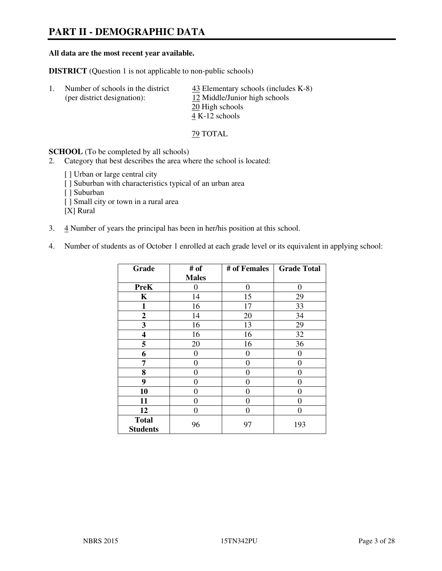# **PART II - DEMOGRAPHIC DATA**

#### **All data are the most recent year available.**

**DISTRICT** (Question 1 is not applicable to non-public schools)

| Number of schools in the district<br>(per district designation): | $\frac{43}{2}$ Elementary schools (includes K-8)<br>12 Middle/Junior high schools<br>20 High schools |
|------------------------------------------------------------------|------------------------------------------------------------------------------------------------------|
|                                                                  | 4 K-12 schools                                                                                       |

79 TOTAL

**SCHOOL** (To be completed by all schools)

- 2. Category that best describes the area where the school is located:
	- [ ] Urban or large central city [ ] Suburban with characteristics typical of an urban area [ ] Suburban [ ] Small city or town in a rural area [X] Rural
- 3. 4 Number of years the principal has been in her/his position at this school.
- 4. Number of students as of October 1 enrolled at each grade level or its equivalent in applying school:

| Grade                           | # of         | # of Females     | <b>Grade Total</b> |
|---------------------------------|--------------|------------------|--------------------|
|                                 | <b>Males</b> |                  |                    |
| <b>PreK</b>                     | 0            | $\boldsymbol{0}$ | $\theta$           |
| K                               | 14           | 15               | 29                 |
| 1                               | 16           | 17               | 33                 |
| $\boldsymbol{2}$                | 14           | 20               | 34                 |
| 3                               | 16           | 13               | 29                 |
| 4                               | 16           | 16               | 32                 |
| 5                               | 20           | 16               | 36                 |
| 6                               | 0            | $\theta$         | 0                  |
| 7                               | 0            | $\overline{0}$   | 0                  |
| 8                               | 0            | 0                | 0                  |
| 9                               | $\theta$     | $\overline{0}$   | 0                  |
| 10                              | 0            | 0                | 0                  |
| 11                              | 0            | 0                | 0                  |
| 12                              | 0            | 0                | 0                  |
| <b>Total</b><br><b>Students</b> | 96           | 97               | 193                |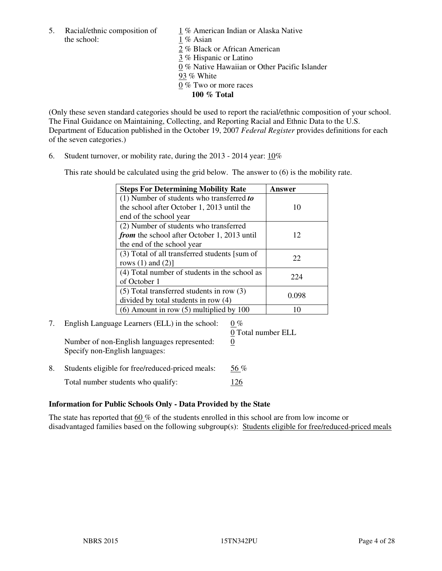5. Racial/ethnic composition of  $1\%$  American Indian or Alaska Native the school: 1 % Asian

 2 % Black or African American 3 % Hispanic or Latino 0 % Native Hawaiian or Other Pacific Islander 93 % White 0 % Two or more races **100 % Total** 

(Only these seven standard categories should be used to report the racial/ethnic composition of your school. The Final Guidance on Maintaining, Collecting, and Reporting Racial and Ethnic Data to the U.S. Department of Education published in the October 19, 2007 *Federal Register* provides definitions for each of the seven categories.)

6. Student turnover, or mobility rate, during the 2013 - 2014 year: 10%

This rate should be calculated using the grid below. The answer to (6) is the mobility rate.

| <b>Steps For Determining Mobility Rate</b>         | Answer |  |
|----------------------------------------------------|--------|--|
| $(1)$ Number of students who transferred to        |        |  |
| the school after October 1, 2013 until the         | 10     |  |
| end of the school year                             |        |  |
| (2) Number of students who transferred             |        |  |
| <i>from</i> the school after October 1, 2013 until | 12     |  |
| the end of the school year                         |        |  |
| (3) Total of all transferred students [sum of      | 22     |  |
| rows $(1)$ and $(2)$ ]                             |        |  |
| (4) Total number of students in the school as      | 224    |  |
| of October 1                                       |        |  |
| $(5)$ Total transferred students in row $(3)$      |        |  |
| divided by total students in row (4)               | 0.098  |  |
| $(6)$ Amount in row $(5)$ multiplied by 100        | 10     |  |

# 7. English Language Learners (ELL) in the school:  $0\%$

Number of non-English languages represented: 0 Specify non-English languages:

0 Total number ELL

8. Students eligible for free/reduced-priced meals:  $56\%$ Total number students who qualify: 126

#### **Information for Public Schools Only - Data Provided by the State**

The state has reported that 60 % of the students enrolled in this school are from low income or disadvantaged families based on the following subgroup(s): Students eligible for free/reduced-priced meals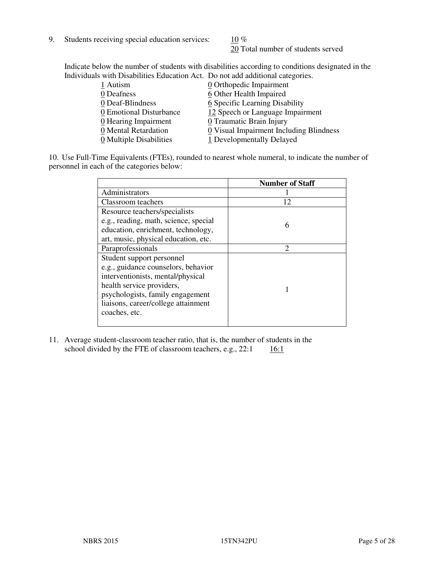9. Students receiving special education services:  $10\%$ 

20 Total number of students served

Indicate below the number of students with disabilities according to conditions designated in the Individuals with Disabilities Education Act. Do not add additional categories.

| 0 Orthopedic Impairment                 |
|-----------------------------------------|
| 6 Other Health Impaired                 |
| 6 Specific Learning Disability          |
| 12 Speech or Language Impairment        |
| 0 Traumatic Brain Injury                |
| 0 Visual Impairment Including Blindness |
| 1 Developmentally Delayed               |
|                                         |

10. Use Full-Time Equivalents (FTEs), rounded to nearest whole numeral, to indicate the number of personnel in each of the categories below:

|                                       | <b>Number of Staff</b> |
|---------------------------------------|------------------------|
| Administrators                        |                        |
| Classroom teachers                    | 12                     |
| Resource teachers/specialists         |                        |
| e.g., reading, math, science, special | 6                      |
| education, enrichment, technology,    |                        |
| art, music, physical education, etc.  |                        |
| Paraprofessionals                     | $\mathfrak{D}$         |
| Student support personnel             |                        |
| e.g., guidance counselors, behavior   |                        |
| interventionists, mental/physical     |                        |
| health service providers,             |                        |
| psychologists, family engagement      |                        |
| liaisons, career/college attainment   |                        |
| coaches, etc.                         |                        |
|                                       |                        |

11. Average student-classroom teacher ratio, that is, the number of students in the school divided by the FTE of classroom teachers, e.g.,  $22:1$  16:1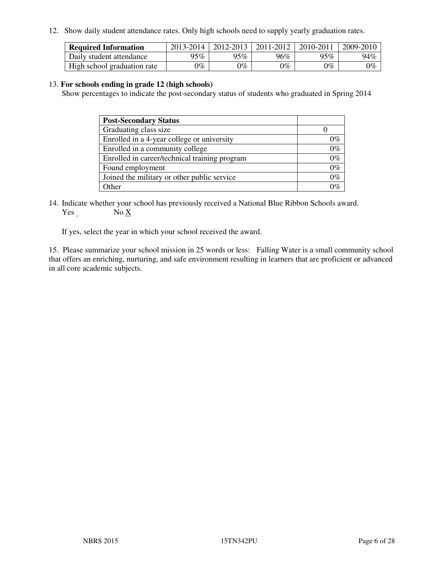12. Show daily student attendance rates. Only high schools need to supply yearly graduation rates.

| <b>Required Information</b> | 2013-2014     | 2012-2013 | 2011-2012 | 2010-2011 | 2009-2010 |
|-----------------------------|---------------|-----------|-----------|-----------|-----------|
| Daily student attendance    | 95%           | 95%       | 96%       | 95%       | 94%       |
| High school graduation rate | $\gamma_{\%}$ | 9%        | $0\%$     | 0%        | $0\%$     |

#### 13. **For schools ending in grade 12 (high schools)**

Show percentages to indicate the post-secondary status of students who graduated in Spring 2014

| <b>Post-Secondary Status</b>                  |       |
|-----------------------------------------------|-------|
| Graduating class size                         |       |
| Enrolled in a 4-year college or university    | 0%    |
| Enrolled in a community college               | $0\%$ |
| Enrolled in career/technical training program | $0\%$ |
| Found employment                              | $0\%$ |
| Joined the military or other public service   | $0\%$ |
| Other                                         | ነር    |

14. Indicate whether your school has previously received a National Blue Ribbon Schools award. Yes No X

If yes, select the year in which your school received the award.

15. Please summarize your school mission in 25 words or less: Falling Water is a small community school that offers an enriching, nurturing, and safe environment resulting in learners that are proficient or advanced in all core academic subjects.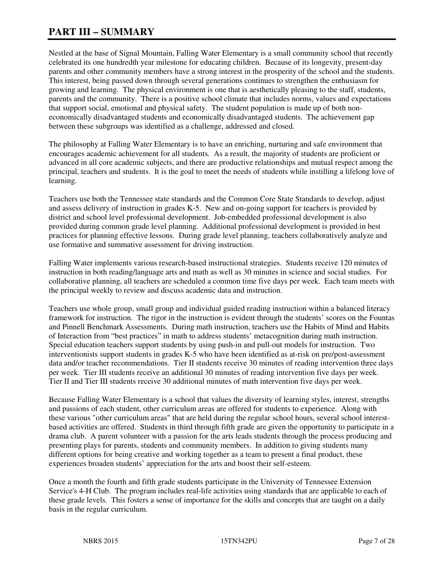# **PART III – SUMMARY**

Nestled at the base of Signal Mountain, Falling Water Elementary is a small community school that recently celebrated its one hundredth year milestone for educating children. Because of its longevity, present-day parents and other community members have a strong interest in the prosperity of the school and the students. This interest, being passed down through several generations continues to strengthen the enthusiasm for growing and learning. The physical environment is one that is aesthetically pleasing to the staff, students, parents and the community. There is a positive school climate that includes norms, values and expectations that support social, emotional and physical safety. The student population is made up of both noneconomically disadvantaged students and economically disadvantaged students. The achievement gap between these subgroups was identified as a challenge, addressed and closed.

The philosophy at Falling Water Elementary is to have an enriching, nurturing and safe environment that encourages academic achievement for all students. As a result, the majority of students are proficient or advanced in all core academic subjects, and there are productive relationships and mutual respect among the principal, teachers and students. It is the goal to meet the needs of students while instilling a lifelong love of learning.

Teachers use both the Tennessee state standards and the Common Core State Standards to develop, adjust and assess delivery of instruction in grades K-5. New and on-going support for teachers is provided by district and school level professional development. Job-embedded professional development is also provided during common grade level planning. Additional professional development is provided in best practices for planning effective lessons. During grade level planning, teachers collaboratively analyze and use formative and summative assessment for driving instruction.

Falling Water implements various research-based instructional strategies. Students receive 120 minutes of instruction in both reading/language arts and math as well as 30 minutes in science and social studies. For collaborative planning, all teachers are scheduled a common time five days per week. Each team meets with the principal weekly to review and discuss academic data and instruction.

Teachers use whole group, small group and individual guided reading instruction within a balanced literacy framework for instruction. The rigor in the instruction is evident through the students' scores on the Fountas and Pinnell Benchmark Assessments. During math instruction, teachers use the Habits of Mind and Habits of Interaction from "best practices" in math to address students' metacognition during math instruction. Special education teachers support students by using push-in and pull-out models for instruction. Two interventionists support students in grades K-5 who have been identified as at-risk on pre/post-assessment data and/or teacher recommendations. Tier II students receive 30 minutes of reading intervention three days per week. Tier III students receive an additional 30 minutes of reading intervention five days per week. Tier II and Tier III students receive 30 additional minutes of math intervention five days per week.

Because Falling Water Elementary is a school that values the diversity of learning styles, interest, strengths and passions of each student, other curriculum areas are offered for students to experience. Along with these various "other curriculum areas" that are held during the regular school hours, several school interestbased activities are offered. Students in third through fifth grade are given the opportunity to participate in a drama club. A parent volunteer with a passion for the arts leads students through the process producing and presenting plays for parents, students and community members. In addition to giving students many different options for being creative and working together as a team to present a final product, these experiences broaden students' appreciation for the arts and boost their self-esteem.

Once a month the fourth and fifth grade students participate in the University of Tennessee Extension Service's 4-H Club. The program includes real-life activities using standards that are applicable to each of these grade levels. This fosters a sense of importance for the skills and concepts that are taught on a daily basis in the regular curriculum.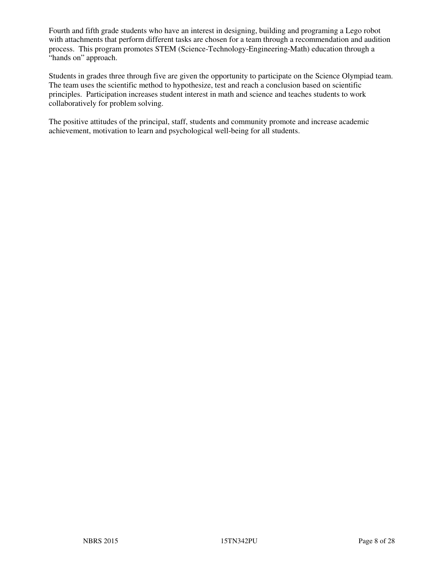Fourth and fifth grade students who have an interest in designing, building and programing a Lego robot with attachments that perform different tasks are chosen for a team through a recommendation and audition process. This program promotes STEM (Science-Technology-Engineering-Math) education through a "hands on" approach.

Students in grades three through five are given the opportunity to participate on the Science Olympiad team. The team uses the scientific method to hypothesize, test and reach a conclusion based on scientific principles. Participation increases student interest in math and science and teaches students to work collaboratively for problem solving.

The positive attitudes of the principal, staff, students and community promote and increase academic achievement, motivation to learn and psychological well-being for all students.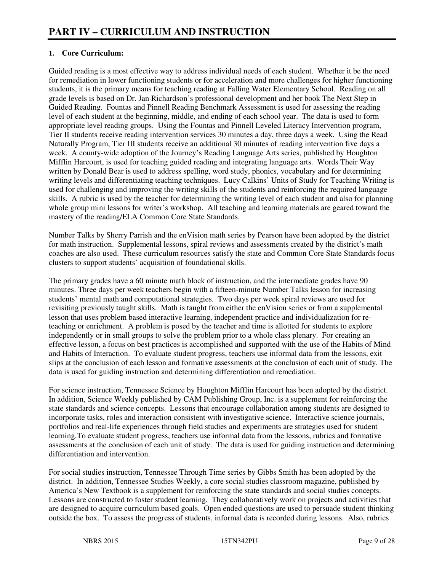## **1. Core Curriculum:**

Guided reading is a most effective way to address individual needs of each student. Whether it be the need for remediation in lower functioning students or for acceleration and more challenges for higher functioning students, it is the primary means for teaching reading at Falling Water Elementary School. Reading on all grade levels is based on Dr. Jan Richardson's professional development and her book The Next Step in Guided Reading. Fountas and Pinnell Reading Benchmark Assessment is used for assessing the reading level of each student at the beginning, middle, and ending of each school year. The data is used to form appropriate level reading groups. Using the Fountas and Pinnell Leveled Literacy Intervention program, Tier II students receive reading intervention services 30 minutes a day, three days a week. Using the Read Naturally Program, Tier III students receive an additional 30 minutes of reading intervention five days a week. A county-wide adoption of the Journey's Reading Language Arts series, published by Houghton Mifflin Harcourt, is used for teaching guided reading and integrating language arts. Words Their Way written by Donald Bear is used to address spelling, word study, phonics, vocabulary and for determining writing levels and differentiating teaching techniques. Lucy Calkins' Units of Study for Teaching Writing is used for challenging and improving the writing skills of the students and reinforcing the required language skills. A rubric is used by the teacher for determining the writing level of each student and also for planning whole group mini lessons for writer's workshop. All teaching and learning materials are geared toward the mastery of the reading/ELA Common Core State Standards.

Number Talks by Sherry Parrish and the enVision math series by Pearson have been adopted by the district for math instruction. Supplemental lessons, spiral reviews and assessments created by the district's math coaches are also used. These curriculum resources satisfy the state and Common Core State Standards focus clusters to support students' acquisition of foundational skills.

The primary grades have a 60 minute math block of instruction, and the intermediate grades have 90 minutes. Three days per week teachers begin with a fifteen-minute Number Talks lesson for increasing students' mental math and computational strategies. Two days per week spiral reviews are used for revisiting previously taught skills. Math is taught from either the enVision series or from a supplemental lesson that uses problem based interactive learning, independent practice and individualization for reteaching or enrichment. A problem is posed by the teacher and time is allotted for students to explore independently or in small groups to solve the problem prior to a whole class plenary. For creating an effective lesson, a focus on best practices is accomplished and supported with the use of the Habits of Mind and Habits of Interaction. To evaluate student progress, teachers use informal data from the lessons, exit slips at the conclusion of each lesson and formative assessments at the conclusion of each unit of study. The data is used for guiding instruction and determining differentiation and remediation.

For science instruction, Tennessee Science by Houghton Mifflin Harcourt has been adopted by the district. In addition, Science Weekly published by CAM Publishing Group, Inc. is a supplement for reinforcing the state standards and science concepts. Lessons that encourage collaboration among students are designed to incorporate tasks, roles and interaction consistent with investigative science. Interactive science journals, portfolios and real-life experiences through field studies and experiments are strategies used for student learning.To evaluate student progress, teachers use informal data from the lessons, rubrics and formative assessments at the conclusion of each unit of study. The data is used for guiding instruction and determining differentiation and intervention.

For social studies instruction, Tennessee Through Time series by Gibbs Smith has been adopted by the district. In addition, Tennessee Studies Weekly, a core social studies classroom magazine, published by America's New Textbook is a supplement for reinforcing the state standards and social studies concepts. Lessons are constructed to foster student learning. They collaboratively work on projects and activities that are designed to acquire curriculum based goals. Open ended questions are used to persuade student thinking outside the box. To assess the progress of students, informal data is recorded during lessons. Also, rubrics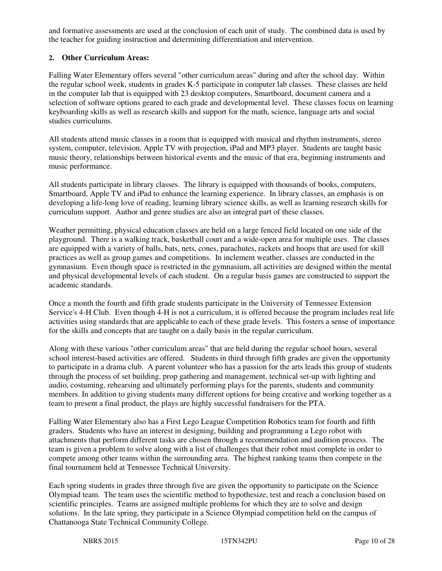and formative assessments are used at the conclusion of each unit of study. The combined data is used by the teacher for guiding instruction and determining differentiation and intervention.

### **2. Other Curriculum Areas:**

Falling Water Elementary offers several "other curriculum areas" during and after the school day. Within the regular school week, students in grades K-5 participate in computer lab classes. These classes are held in the computer lab that is equipped with 23 desktop computers, Smartboard, document camera and a selection of software options geared to each grade and developmental level. These classes focus on learning keyboarding skills as well as research skills and support for the math, science, language arts and social studies curriculums.

All students attend music classes in a room that is equipped with musical and rhythm instruments, stereo system, computer, television, Apple TV with projection, iPad and MP3 player. Students are taught basic music theory, relationships between historical events and the music of that era, beginning instruments and music performance.

All students participate in library classes. The library is equipped with thousands of books, computers, Smartboard, Apple TV and iPad to enhance the learning experience. In library classes, an emphasis is on developing a life-long love of reading, learning library science skills, as well as learning research skills for curriculum support. Author and genre studies are also an integral part of these classes.

Weather permitting, physical education classes are held on a large fenced field located on one side of the playground. There is a walking track, basketball court and a wide-open area for multiple uses. The classes are equipped with a variety of balls, bats, nets, cones, parachutes, rackets and hoops that are used for skill practices as well as group games and competitions. In inclement weather, classes are conducted in the gymnasium. Even though space is restricted in the gymnasium, all activities are designed within the mental and physical developmental levels of each student. On a regular basis games are constructed to support the academic standards.

Once a month the fourth and fifth grade students participate in the University of Tennessee Extension Service's 4-H Club. Even though 4-H is not a curriculum, it is offered because the program includes real life activities using standards that are applicable to each of these grade levels. This fosters a sense of importance for the skills and concepts that are taught on a daily basis in the regular curriculum.

Along with these various "other curriculum areas" that are held during the regular school hours, several school interest-based activities are offered. Students in third through fifth grades are given the opportunity to participate in a drama club. A parent volunteer who has a passion for the arts leads this group of students through the process of set building, prop gathering and management, technical set-up with lighting and audio, costuming, rehearsing and ultimately performing plays for the parents, students and community members. In addition to giving students many different options for being creative and working together as a team to present a final product, the plays are highly successful fundraisers for the PTA.

Falling Water Elementary also has a First Lego League Competition Robotics team for fourth and fifth graders. Students who have an interest in designing, building and programming a Lego robot with attachments that perform different tasks are chosen through a recommendation and audition process. The team is given a problem to solve along with a list of challenges that their robot must complete in order to compete among other teams within the surrounding area. The highest ranking teams then compete in the final tournament held at Tennessee Technical University.

Each spring students in grades three through five are given the opportunity to participate on the Science Olympiad team. The team uses the scientific method to hypothesize, test and reach a conclusion based on scientific principles. Teams are assigned multiple problems for which they are to solve and design solutions. In the late spring, they participate in a Science Olympiad competition held on the campus of Chattanooga State Technical Community College.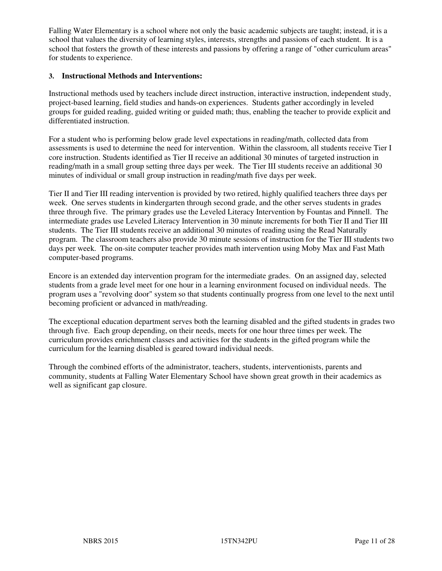Falling Water Elementary is a school where not only the basic academic subjects are taught; instead, it is a school that values the diversity of learning styles, interests, strengths and passions of each student. It is a school that fosters the growth of these interests and passions by offering a range of "other curriculum areas" for students to experience.

#### **3. Instructional Methods and Interventions:**

Instructional methods used by teachers include direct instruction, interactive instruction, independent study, project-based learning, field studies and hands-on experiences. Students gather accordingly in leveled groups for guided reading, guided writing or guided math; thus, enabling the teacher to provide explicit and differentiated instruction.

For a student who is performing below grade level expectations in reading/math, collected data from assessments is used to determine the need for intervention. Within the classroom, all students receive Tier I core instruction. Students identified as Tier II receive an additional 30 minutes of targeted instruction in reading/math in a small group setting three days per week. The Tier III students receive an additional 30 minutes of individual or small group instruction in reading/math five days per week.

Tier II and Tier III reading intervention is provided by two retired, highly qualified teachers three days per week. One serves students in kindergarten through second grade, and the other serves students in grades three through five. The primary grades use the Leveled Literacy Intervention by Fountas and Pinnell. The intermediate grades use Leveled Literacy Intervention in 30 minute increments for both Tier II and Tier III students. The Tier III students receive an additional 30 minutes of reading using the Read Naturally program. The classroom teachers also provide 30 minute sessions of instruction for the Tier III students two days per week. The on-site computer teacher provides math intervention using Moby Max and Fast Math computer-based programs.

Encore is an extended day intervention program for the intermediate grades. On an assigned day, selected students from a grade level meet for one hour in a learning environment focused on individual needs. The program uses a "revolving door" system so that students continually progress from one level to the next until becoming proficient or advanced in math/reading.

The exceptional education department serves both the learning disabled and the gifted students in grades two through five. Each group depending, on their needs, meets for one hour three times per week. The curriculum provides enrichment classes and activities for the students in the gifted program while the curriculum for the learning disabled is geared toward individual needs.

Through the combined efforts of the administrator, teachers, students, interventionists, parents and community, students at Falling Water Elementary School have shown great growth in their academics as well as significant gap closure.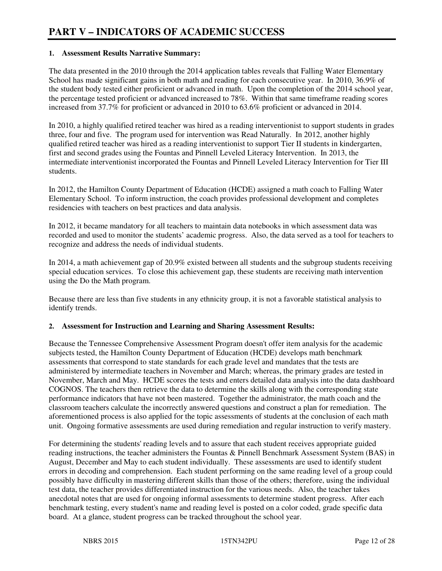#### **1. Assessment Results Narrative Summary:**

The data presented in the 2010 through the 2014 application tables reveals that Falling Water Elementary School has made significant gains in both math and reading for each consecutive year. In 2010, 36.9% of the student body tested either proficient or advanced in math. Upon the completion of the 2014 school year, the percentage tested proficient or advanced increased to 78%. Within that same timeframe reading scores increased from 37.7% for proficient or advanced in 2010 to 63.6% proficient or advanced in 2014.

In 2010, a highly qualified retired teacher was hired as a reading interventionist to support students in grades three, four and five. The program used for intervention was Read Naturally. In 2012, another highly qualified retired teacher was hired as a reading interventionist to support Tier II students in kindergarten, first and second grades using the Fountas and Pinnell Leveled Literacy Intervention. In 2013, the intermediate interventionist incorporated the Fountas and Pinnell Leveled Literacy Intervention for Tier III students.

In 2012, the Hamilton County Department of Education (HCDE) assigned a math coach to Falling Water Elementary School. To inform instruction, the coach provides professional development and completes residencies with teachers on best practices and data analysis.

In 2012, it became mandatory for all teachers to maintain data notebooks in which assessment data was recorded and used to monitor the students' academic progress. Also, the data served as a tool for teachers to recognize and address the needs of individual students.

In 2014, a math achievement gap of 20.9% existed between all students and the subgroup students receiving special education services. To close this achievement gap, these students are receiving math intervention using the Do the Math program.

Because there are less than five students in any ethnicity group, it is not a favorable statistical analysis to identify trends.

#### **2. Assessment for Instruction and Learning and Sharing Assessment Results:**

Because the Tennessee Comprehensive Assessment Program doesn't offer item analysis for the academic subjects tested, the Hamilton County Department of Education (HCDE) develops math benchmark assessments that correspond to state standards for each grade level and mandates that the tests are administered by intermediate teachers in November and March; whereas, the primary grades are tested in November, March and May. HCDE scores the tests and enters detailed data analysis into the data dashboard COGNOS. The teachers then retrieve the data to determine the skills along with the corresponding state performance indicators that have not been mastered. Together the administrator, the math coach and the classroom teachers calculate the incorrectly answered questions and construct a plan for remediation. The aforementioned process is also applied for the topic assessments of students at the conclusion of each math unit. Ongoing formative assessments are used during remediation and regular instruction to verify mastery.

For determining the students' reading levels and to assure that each student receives appropriate guided reading instructions, the teacher administers the Fountas & Pinnell Benchmark Assessment System (BAS) in August, December and May to each student individually. These assessments are used to identify student errors in decoding and comprehension. Each student performing on the same reading level of a group could possibly have difficulty in mastering different skills than those of the others; therefore, using the individual test data, the teacher provides differentiated instruction for the various needs. Also, the teacher takes anecdotal notes that are used for ongoing informal assessments to determine student progress. After each benchmark testing, every student's name and reading level is posted on a color coded, grade specific data board. At a glance, student progress can be tracked throughout the school year.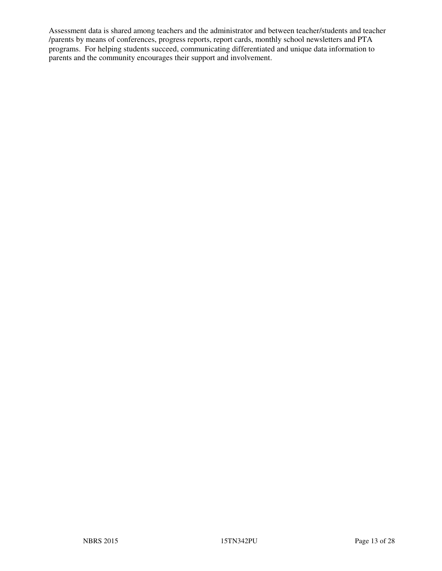Assessment data is shared among teachers and the administrator and between teacher/students and teacher /parents by means of conferences, progress reports, report cards, monthly school newsletters and PTA programs. For helping students succeed, communicating differentiated and unique data information to parents and the community encourages their support and involvement.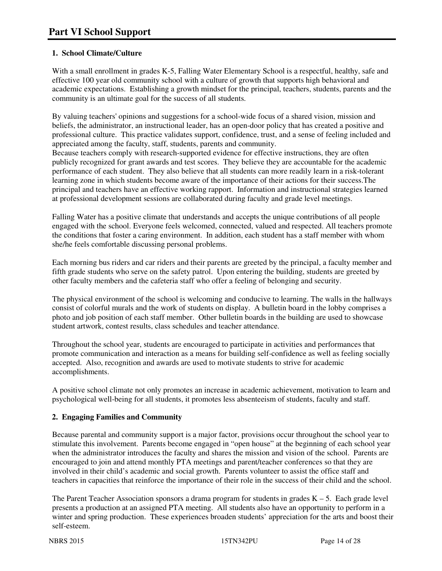# **1. School Climate/Culture**

With a small enrollment in grades K-5, Falling Water Elementary School is a respectful, healthy, safe and effective 100 year old community school with a culture of growth that supports high behavioral and academic expectations. Establishing a growth mindset for the principal, teachers, students, parents and the community is an ultimate goal for the success of all students.

By valuing teachers' opinions and suggestions for a school-wide focus of a shared vision, mission and beliefs, the administrator, an instructional leader, has an open-door policy that has created a positive and professional culture. This practice validates support, confidence, trust, and a sense of feeling included and appreciated among the faculty, staff, students, parents and community. Because teachers comply with research-supported evidence for effective instructions, they are often publicly recognized for grant awards and test scores. They believe they are accountable for the academic performance of each student. They also believe that all students can more readily learn in a risk-tolerant learning zone in which students become aware of the importance of their actions for their success.The principal and teachers have an effective working rapport. Information and instructional strategies learned at professional development sessions are collaborated during faculty and grade level meetings.

Falling Water has a positive climate that understands and accepts the unique contributions of all people engaged with the school. Everyone feels welcomed, connected, valued and respected. All teachers promote the conditions that foster a caring environment. In addition, each student has a staff member with whom she/he feels comfortable discussing personal problems.

Each morning bus riders and car riders and their parents are greeted by the principal, a faculty member and fifth grade students who serve on the safety patrol. Upon entering the building, students are greeted by other faculty members and the cafeteria staff who offer a feeling of belonging and security.

The physical environment of the school is welcoming and conducive to learning. The walls in the hallways consist of colorful murals and the work of students on display. A bulletin board in the lobby comprises a photo and job position of each staff member. Other bulletin boards in the building are used to showcase student artwork, contest results, class schedules and teacher attendance.

Throughout the school year, students are encouraged to participate in activities and performances that promote communication and interaction as a means for building self-confidence as well as feeling socially accepted. Also, recognition and awards are used to motivate students to strive for academic accomplishments.

A positive school climate not only promotes an increase in academic achievement, motivation to learn and psychological well-being for all students, it promotes less absenteeism of students, faculty and staff.

## **2. Engaging Families and Community**

Because parental and community support is a major factor, provisions occur throughout the school year to stimulate this involvement. Parents become engaged in "open house" at the beginning of each school year when the administrator introduces the faculty and shares the mission and vision of the school. Parents are encouraged to join and attend monthly PTA meetings and parent/teacher conferences so that they are involved in their child's academic and social growth. Parents volunteer to assist the office staff and teachers in capacities that reinforce the importance of their role in the success of their child and the school.

The Parent Teacher Association sponsors a drama program for students in grades K – 5. Each grade level presents a production at an assigned PTA meeting. All students also have an opportunity to perform in a winter and spring production. These experiences broaden students' appreciation for the arts and boost their self-esteem.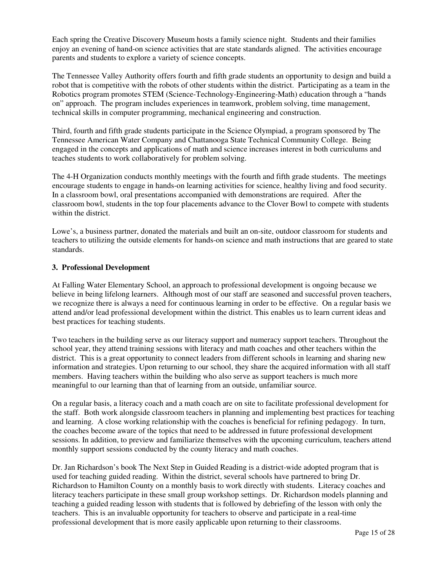Each spring the Creative Discovery Museum hosts a family science night. Students and their families enjoy an evening of hand-on science activities that are state standards aligned. The activities encourage parents and students to explore a variety of science concepts.

The Tennessee Valley Authority offers fourth and fifth grade students an opportunity to design and build a robot that is competitive with the robots of other students within the district. Participating as a team in the Robotics program promotes STEM (Science-Technology-Engineering-Math) education through a "hands on" approach. The program includes experiences in teamwork, problem solving, time management, technical skills in computer programming, mechanical engineering and construction.

Third, fourth and fifth grade students participate in the Science Olympiad, a program sponsored by The Tennessee American Water Company and Chattanooga State Technical Community College. Being engaged in the concepts and applications of math and science increases interest in both curriculums and teaches students to work collaboratively for problem solving.

The 4-H Organization conducts monthly meetings with the fourth and fifth grade students. The meetings encourage students to engage in hands-on learning activities for science, healthy living and food security. In a classroom bowl, oral presentations accompanied with demonstrations are required. After the classroom bowl, students in the top four placements advance to the Clover Bowl to compete with students within the district.

Lowe's, a business partner, donated the materials and built an on-site, outdoor classroom for students and teachers to utilizing the outside elements for hands-on science and math instructions that are geared to state standards.

#### **3. Professional Development**

At Falling Water Elementary School, an approach to professional development is ongoing because we believe in being lifelong learners. Although most of our staff are seasoned and successful proven teachers, we recognize there is always a need for continuous learning in order to be effective. On a regular basis we attend and/or lead professional development within the district. This enables us to learn current ideas and best practices for teaching students.

Two teachers in the building serve as our literacy support and numeracy support teachers. Throughout the school year, they attend training sessions with literacy and math coaches and other teachers within the district. This is a great opportunity to connect leaders from different schools in learning and sharing new information and strategies. Upon returning to our school, they share the acquired information with all staff members. Having teachers within the building who also serve as support teachers is much more meaningful to our learning than that of learning from an outside, unfamiliar source.

On a regular basis, a literacy coach and a math coach are on site to facilitate professional development for the staff. Both work alongside classroom teachers in planning and implementing best practices for teaching and learning. A close working relationship with the coaches is beneficial for refining pedagogy. In turn, the coaches become aware of the topics that need to be addressed in future professional development sessions. In addition, to preview and familiarize themselves with the upcoming curriculum, teachers attend monthly support sessions conducted by the county literacy and math coaches.

Dr. Jan Richardson's book The Next Step in Guided Reading is a district-wide adopted program that is used for teaching guided reading. Within the district, several schools have partnered to bring Dr. Richardson to Hamilton County on a monthly basis to work directly with students. Literacy coaches and literacy teachers participate in these small group workshop settings. Dr. Richardson models planning and teaching a guided reading lesson with students that is followed by debriefing of the lesson with only the teachers. This is an invaluable opportunity for teachers to observe and participate in a real-time professional development that is more easily applicable upon returning to their classrooms.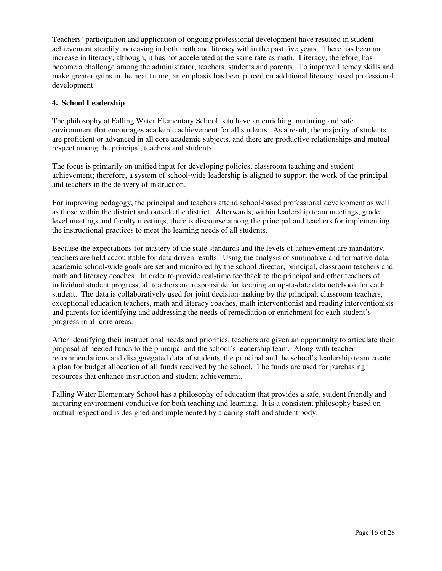Teachers' participation and application of ongoing professional development have resulted in student achievement steadily increasing in both math and literacy within the past five years. There has been an increase in literacy; although, it has not accelerated at the same rate as math. Literacy, therefore, has become a challenge among the administrator, teachers, students and parents. To improve literacy skills and make greater gains in the near future, an emphasis has been placed on additional literacy based professional development.

#### **4. School Leadership**

The philosophy at Falling Water Elementary School is to have an enriching, nurturing and safe environment that encourages academic achievement for all students. As a result, the majority of students are proficient or advanced in all core academic subjects, and there are productive relationships and mutual respect among the principal, teachers and students.

The focus is primarily on unified input for developing policies, classroom teaching and student achievement; therefore, a system of school-wide leadership is aligned to support the work of the principal and teachers in the delivery of instruction.

For improving pedagogy, the principal and teachers attend school-based professional development as well as those within the district and outside the district. Afterwards, within leadership team meetings, grade level meetings and faculty meetings, there is discourse among the principal and teachers for implementing the instructional practices to meet the learning needs of all students.

Because the expectations for mastery of the state standards and the levels of achievement are mandatory, teachers are held accountable for data driven results. Using the analysis of summative and formative data, academic school-wide goals are set and monitored by the school director, principal, classroom teachers and math and literacy coaches. In order to provide real-time feedback to the principal and other teachers of individual student progress, all teachers are responsible for keeping an up-to-date data notebook for each student. The data is collaboratively used for joint decision-making by the principal, classroom teachers, exceptional education teachers, math and literacy coaches, math interventionist and reading interventionists and parents for identifying and addressing the needs of remediation or enrichment for each student's progress in all core areas.

After identifying their instructional needs and priorities, teachers are given an opportunity to articulate their proposal of needed funds to the principal and the school's leadership team. Along with teacher recommendations and disaggregated data of students, the principal and the school's leadership team create a plan for budget allocation of all funds received by the school. The funds are used for purchasing resources that enhance instruction and student achievement.

Falling Water Elementary School has a philosophy of education that provides a safe, student friendly and nurturing environment conducive for both teaching and learning. It is a consistent philosophy based on mutual respect and is designed and implemented by a caring staff and student body.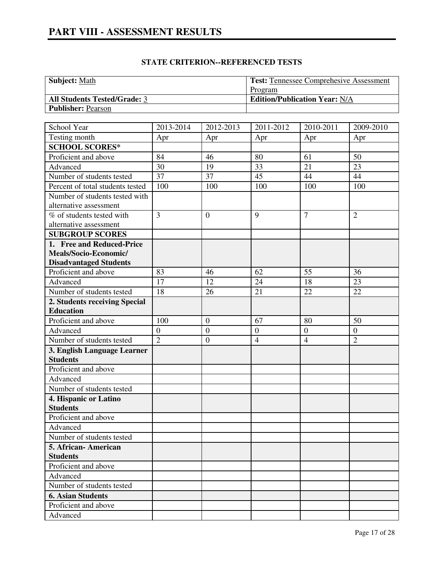| <b>Subject:</b> Math                | <b>Test: Tennessee Comprehesive Assessment</b> |
|-------------------------------------|------------------------------------------------|
|                                     | Program                                        |
| <b>All Students Tested/Grade: 3</b> | <b>Edition/Publication Year: N/A</b>           |
| <b>Publisher: Pearson</b>           |                                                |

| School Year                      | 2013-2014      | 2012-2013        | 2011-2012      | 2010-2011        | 2009-2010        |
|----------------------------------|----------------|------------------|----------------|------------------|------------------|
| Testing month                    | Apr            | Apr              | Apr            | Apr              | Apr              |
| <b>SCHOOL SCORES*</b>            |                |                  |                |                  |                  |
| Proficient and above             | 84             | 46               | 80             | 61               | 50               |
| Advanced                         | 30             | 19               | 33             | 21               | 23               |
| Number of students tested        | 37             | 37               | 45             | 44               | 44               |
| Percent of total students tested | 100            | 100              | 100            | 100              | 100              |
| Number of students tested with   |                |                  |                |                  |                  |
| alternative assessment           |                |                  |                |                  |                  |
| % of students tested with        | 3              | $\mathbf{0}$     | 9              | $\overline{7}$   | $\overline{2}$   |
| alternative assessment           |                |                  |                |                  |                  |
| <b>SUBGROUP SCORES</b>           |                |                  |                |                  |                  |
| 1. Free and Reduced-Price        |                |                  |                |                  |                  |
| Meals/Socio-Economic/            |                |                  |                |                  |                  |
| <b>Disadvantaged Students</b>    |                |                  |                |                  |                  |
| Proficient and above             | 83             | 46               | 62             | 55               | 36               |
| Advanced                         | 17             | 12               | 24             | 18               | 23               |
| Number of students tested        | 18             | 26               | 21             | 22               | 22               |
| 2. Students receiving Special    |                |                  |                |                  |                  |
| <b>Education</b>                 |                |                  |                |                  |                  |
| Proficient and above             | 100            | $\boldsymbol{0}$ | 67             | 80               | 50               |
| Advanced                         | $\mathbf{0}$   | $\overline{0}$   | $\overline{0}$ | $\boldsymbol{0}$ | $\boldsymbol{0}$ |
| Number of students tested        | $\overline{2}$ | $\boldsymbol{0}$ | $\overline{4}$ | $\overline{4}$   | $\overline{2}$   |
| 3. English Language Learner      |                |                  |                |                  |                  |
| <b>Students</b>                  |                |                  |                |                  |                  |
| Proficient and above             |                |                  |                |                  |                  |
| Advanced                         |                |                  |                |                  |                  |
| Number of students tested        |                |                  |                |                  |                  |
| 4. Hispanic or Latino            |                |                  |                |                  |                  |
| <b>Students</b>                  |                |                  |                |                  |                  |
| Proficient and above             |                |                  |                |                  |                  |
| Advanced                         |                |                  |                |                  |                  |
| Number of students tested        |                |                  |                |                  |                  |
| 5. African-American              |                |                  |                |                  |                  |
| <b>Students</b>                  |                |                  |                |                  |                  |
| Proficient and above             |                |                  |                |                  |                  |
| Advanced                         |                |                  |                |                  |                  |
| Number of students tested        |                |                  |                |                  |                  |
| <b>6. Asian Students</b>         |                |                  |                |                  |                  |
| Proficient and above             |                |                  |                |                  |                  |
| Advanced                         |                |                  |                |                  |                  |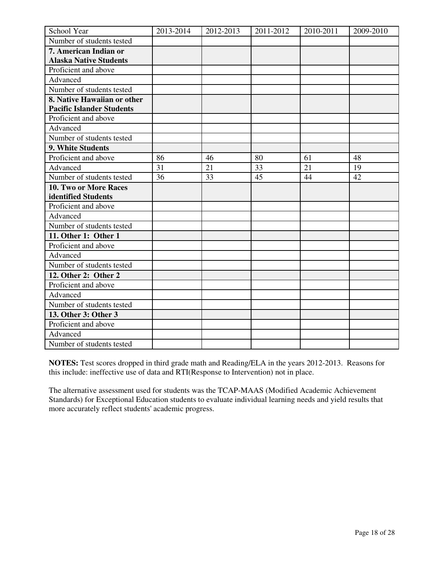| School Year                      | 2013-2014 | 2012-2013 | 2011-2012 | 2010-2011 | 2009-2010 |
|----------------------------------|-----------|-----------|-----------|-----------|-----------|
| Number of students tested        |           |           |           |           |           |
| 7. American Indian or            |           |           |           |           |           |
| <b>Alaska Native Students</b>    |           |           |           |           |           |
| Proficient and above             |           |           |           |           |           |
| Advanced                         |           |           |           |           |           |
| Number of students tested        |           |           |           |           |           |
| 8. Native Hawaiian or other      |           |           |           |           |           |
| <b>Pacific Islander Students</b> |           |           |           |           |           |
| Proficient and above             |           |           |           |           |           |
| Advanced                         |           |           |           |           |           |
| Number of students tested        |           |           |           |           |           |
| 9. White Students                |           |           |           |           |           |
| Proficient and above             | 86        | 46        | 80        | 61        | 48        |
| Advanced                         | 31        | 21        | 33        | 21        | 19        |
| Number of students tested        | 36        | 33        | 45        | 44        | 42        |
| 10. Two or More Races            |           |           |           |           |           |
| identified Students              |           |           |           |           |           |
| Proficient and above             |           |           |           |           |           |
| Advanced                         |           |           |           |           |           |
| Number of students tested        |           |           |           |           |           |
| 11. Other 1: Other 1             |           |           |           |           |           |
| Proficient and above             |           |           |           |           |           |
| Advanced                         |           |           |           |           |           |
| Number of students tested        |           |           |           |           |           |
| 12. Other 2: Other 2             |           |           |           |           |           |
| Proficient and above             |           |           |           |           |           |
| Advanced                         |           |           |           |           |           |
| Number of students tested        |           |           |           |           |           |
| 13. Other 3: Other 3             |           |           |           |           |           |
| Proficient and above             |           |           |           |           |           |
| Advanced                         |           |           |           |           |           |
| Number of students tested        |           |           |           |           |           |

**NOTES:** Test scores dropped in third grade math and Reading/ELA in the years 2012-2013. Reasons for this include: ineffective use of data and RTI(Response to Intervention) not in place.

The alternative assessment used for students was the TCAP-MAAS (Modified Academic Achievement Standards) for Exceptional Education students to evaluate individual learning needs and yield results that more accurately reflect students' academic progress.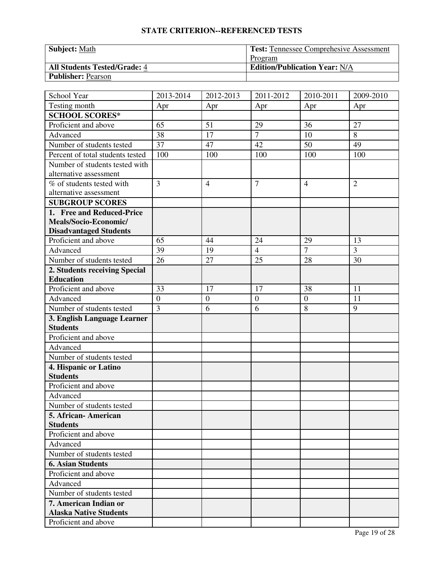| <b>Subject: Math</b>                | <b>Test: Tennessee Comprehesive Assessment</b> |
|-------------------------------------|------------------------------------------------|
|                                     | Program                                        |
| <b>All Students Tested/Grade: 4</b> | <b>Edition/Publication Year: N/A</b>           |
| <b>Publisher: Pearson</b>           |                                                |

| School Year                                       | 2013-2014        | 2012-2013        | 2011-2012        | 2010-2011      | 2009-2010      |
|---------------------------------------------------|------------------|------------------|------------------|----------------|----------------|
| Testing month                                     | Apr              | Apr              | Apr              | Apr            | Apr            |
| <b>SCHOOL SCORES*</b>                             |                  |                  |                  |                |                |
| Proficient and above                              | 65               | 51               | 29               | 36             | 27             |
| Advanced                                          | 38               | 17               | $\overline{7}$   | 10             | 8              |
| Number of students tested                         | 37               | 47               | 42               | 50             | 49             |
| Percent of total students tested                  | 100              | 100              | 100              | 100            | 100            |
| Number of students tested with                    |                  |                  |                  |                |                |
| alternative assessment                            |                  |                  |                  |                |                |
| % of students tested with                         | $\overline{3}$   | $\overline{4}$   | $\overline{7}$   | $\overline{4}$ | $\overline{2}$ |
| alternative assessment                            |                  |                  |                  |                |                |
| <b>SUBGROUP SCORES</b>                            |                  |                  |                  |                |                |
| 1. Free and Reduced-Price                         |                  |                  |                  |                |                |
| Meals/Socio-Economic/                             |                  |                  |                  |                |                |
| <b>Disadvantaged Students</b>                     |                  |                  |                  |                |                |
| Proficient and above                              | 65               | 44               | 24               | 29             | 13             |
| Advanced                                          | 39               | 19               | $\overline{4}$   | $\overline{7}$ | 3              |
| Number of students tested                         | 26               | 27               | 25               | 28             | 30             |
| 2. Students receiving Special<br><b>Education</b> |                  |                  |                  |                |                |
| Proficient and above                              | 33               | 17               | 17               | 38             | 11             |
| Advanced                                          | $\boldsymbol{0}$ | $\boldsymbol{0}$ | $\boldsymbol{0}$ | $\overline{0}$ | 11             |
| Number of students tested                         | $\overline{3}$   | 6                | 6                | 8              | 9              |
| 3. English Language Learner                       |                  |                  |                  |                |                |
| <b>Students</b>                                   |                  |                  |                  |                |                |
| Proficient and above                              |                  |                  |                  |                |                |
| Advanced                                          |                  |                  |                  |                |                |
| Number of students tested                         |                  |                  |                  |                |                |
| 4. Hispanic or Latino                             |                  |                  |                  |                |                |
| <b>Students</b>                                   |                  |                  |                  |                |                |
| Proficient and above                              |                  |                  |                  |                |                |
| Advanced                                          |                  |                  |                  |                |                |
| Number of students tested                         |                  |                  |                  |                |                |
| 5. African-American                               |                  |                  |                  |                |                |
| <b>Students</b>                                   |                  |                  |                  |                |                |
| Proficient and above                              |                  |                  |                  |                |                |
| Advanced                                          |                  |                  |                  |                |                |
| Number of students tested                         |                  |                  |                  |                |                |
| <b>6. Asian Students</b>                          |                  |                  |                  |                |                |
| Proficient and above                              |                  |                  |                  |                |                |
| Advanced                                          |                  |                  |                  |                |                |
| Number of students tested                         |                  |                  |                  |                |                |
| 7. American Indian or                             |                  |                  |                  |                |                |
| <b>Alaska Native Students</b>                     |                  |                  |                  |                |                |
| Proficient and above                              |                  |                  |                  |                |                |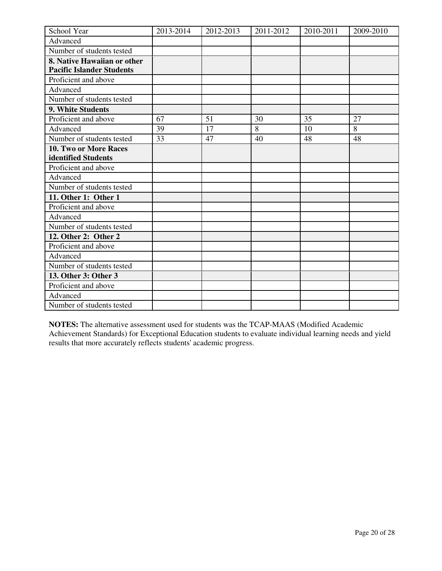| School Year                      | 2013-2014 | 2012-2013 | 2011-2012 | 2010-2011 | 2009-2010 |
|----------------------------------|-----------|-----------|-----------|-----------|-----------|
| Advanced                         |           |           |           |           |           |
| Number of students tested        |           |           |           |           |           |
| 8. Native Hawaiian or other      |           |           |           |           |           |
| <b>Pacific Islander Students</b> |           |           |           |           |           |
| Proficient and above             |           |           |           |           |           |
| Advanced                         |           |           |           |           |           |
| Number of students tested        |           |           |           |           |           |
| 9. White Students                |           |           |           |           |           |
| Proficient and above             | 67        | 51        | 30        | 35        | 27        |
| Advanced                         | 39        | 17        | 8         | 10        | 8         |
| Number of students tested        | 33        | 47        | 40        | 48        | 48        |
| 10. Two or More Races            |           |           |           |           |           |
| identified Students              |           |           |           |           |           |
| Proficient and above             |           |           |           |           |           |
| Advanced                         |           |           |           |           |           |
| Number of students tested        |           |           |           |           |           |
| 11. Other 1: Other 1             |           |           |           |           |           |
| Proficient and above             |           |           |           |           |           |
| Advanced                         |           |           |           |           |           |
| Number of students tested        |           |           |           |           |           |
| 12. Other 2: Other 2             |           |           |           |           |           |
| Proficient and above             |           |           |           |           |           |
| Advanced                         |           |           |           |           |           |
| Number of students tested        |           |           |           |           |           |
| 13. Other 3: Other 3             |           |           |           |           |           |
| Proficient and above             |           |           |           |           |           |
| Advanced                         |           |           |           |           |           |
| Number of students tested        |           |           |           |           |           |

**NOTES:** The alternative assessment used for students was the TCAP-MAAS (Modified Academic Achievement Standards) for Exceptional Education students to evaluate individual learning needs and yield results that more accurately reflects students' academic progress.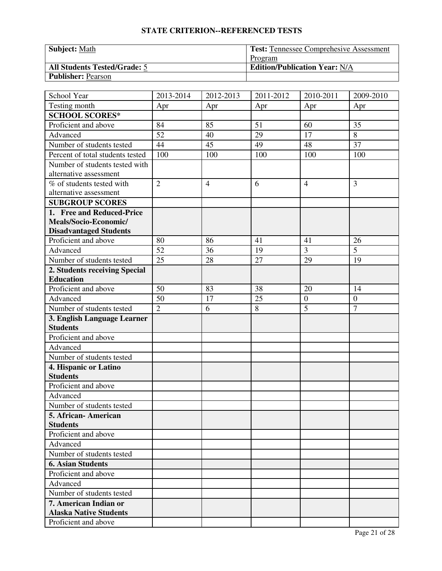| <b>Subject: Math</b>                | Test: Tennessee Comprehesive Assessment |
|-------------------------------------|-----------------------------------------|
|                                     | Program                                 |
| <b>All Students Tested/Grade: 5</b> | <b>Edition/Publication Year: N/A</b>    |
| <b>Publisher: Pearson</b>           |                                         |

| School Year                      | 2013-2014      | 2012-2013      | 2011-2012 | 2010-2011      | 2009-2010        |
|----------------------------------|----------------|----------------|-----------|----------------|------------------|
| Testing month                    | Apr            | Apr            | Apr       | Apr            | Apr              |
| <b>SCHOOL SCORES*</b>            |                |                |           |                |                  |
| Proficient and above             | 84             | 85             | 51        | 60             | 35               |
| Advanced                         | 52             | 40             | 29        | 17             | 8                |
| Number of students tested        | 44             | 45             | 49        | 48             | 37               |
| Percent of total students tested | 100            | 100            | 100       | 100            | 100              |
| Number of students tested with   |                |                |           |                |                  |
| alternative assessment           |                |                |           |                |                  |
| % of students tested with        | $\overline{2}$ | $\overline{4}$ | 6         | $\overline{4}$ | 3                |
| alternative assessment           |                |                |           |                |                  |
| <b>SUBGROUP SCORES</b>           |                |                |           |                |                  |
| 1. Free and Reduced-Price        |                |                |           |                |                  |
| Meals/Socio-Economic/            |                |                |           |                |                  |
| <b>Disadvantaged Students</b>    |                |                |           |                |                  |
| Proficient and above             | 80             | 86             | 41        | 41             | 26               |
| Advanced                         | 52             | 36             | 19        | 3              | 5                |
| Number of students tested        | 25             | 28             | 27        | 29             | 19               |
| 2. Students receiving Special    |                |                |           |                |                  |
| <b>Education</b>                 |                |                |           |                |                  |
| Proficient and above             | 50             | 83             | 38        | 20             | 14               |
| Advanced                         | 50             | 17             | 25        | $\overline{0}$ | $\boldsymbol{0}$ |
| Number of students tested        | $\overline{2}$ | 6              | 8         | $\overline{5}$ | $\overline{7}$   |
| 3. English Language Learner      |                |                |           |                |                  |
| <b>Students</b>                  |                |                |           |                |                  |
| Proficient and above             |                |                |           |                |                  |
| Advanced                         |                |                |           |                |                  |
| Number of students tested        |                |                |           |                |                  |
| 4. Hispanic or Latino            |                |                |           |                |                  |
| <b>Students</b>                  |                |                |           |                |                  |
| Proficient and above             |                |                |           |                |                  |
| Advanced                         |                |                |           |                |                  |
| Number of students tested        |                |                |           |                |                  |
| 5. African-American              |                |                |           |                |                  |
| <b>Students</b>                  |                |                |           |                |                  |
| Proficient and above             |                |                |           |                |                  |
| Advanced                         |                |                |           |                |                  |
| Number of students tested        |                |                |           |                |                  |
| <b>6. Asian Students</b>         |                |                |           |                |                  |
| Proficient and above             |                |                |           |                |                  |
| Advanced                         |                |                |           |                |                  |
| Number of students tested        |                |                |           |                |                  |
| 7. American Indian or            |                |                |           |                |                  |
| <b>Alaska Native Students</b>    |                |                |           |                |                  |
| Proficient and above             |                |                |           |                |                  |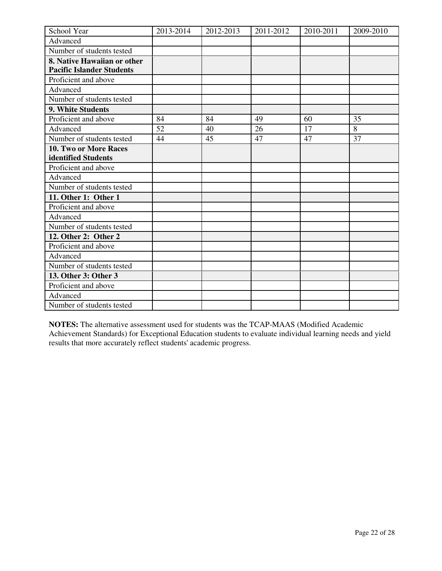| School Year                      | 2013-2014 | 2012-2013 | 2011-2012 | 2010-2011 | 2009-2010 |
|----------------------------------|-----------|-----------|-----------|-----------|-----------|
| Advanced                         |           |           |           |           |           |
| Number of students tested        |           |           |           |           |           |
| 8. Native Hawaiian or other      |           |           |           |           |           |
| <b>Pacific Islander Students</b> |           |           |           |           |           |
| Proficient and above             |           |           |           |           |           |
| Advanced                         |           |           |           |           |           |
| Number of students tested        |           |           |           |           |           |
| 9. White Students                |           |           |           |           |           |
| Proficient and above             | 84        | 84        | 49        | 60        | 35        |
| Advanced                         | 52        | 40        | 26        | 17        | 8         |
| Number of students tested        | 44        | 45        | 47        | 47        | 37        |
| 10. Two or More Races            |           |           |           |           |           |
| identified Students              |           |           |           |           |           |
| Proficient and above             |           |           |           |           |           |
| Advanced                         |           |           |           |           |           |
| Number of students tested        |           |           |           |           |           |
| 11. Other 1: Other 1             |           |           |           |           |           |
| Proficient and above             |           |           |           |           |           |
| Advanced                         |           |           |           |           |           |
| Number of students tested        |           |           |           |           |           |
| 12. Other 2: Other 2             |           |           |           |           |           |
| Proficient and above             |           |           |           |           |           |
| Advanced                         |           |           |           |           |           |
| Number of students tested        |           |           |           |           |           |
| 13. Other 3: Other 3             |           |           |           |           |           |
| Proficient and above             |           |           |           |           |           |
| Advanced                         |           |           |           |           |           |
| Number of students tested        |           |           |           |           |           |

**NOTES:** The alternative assessment used for students was the TCAP-MAAS (Modified Academic Achievement Standards) for Exceptional Education students to evaluate individual learning needs and yield results that more accurately reflect students' academic progress.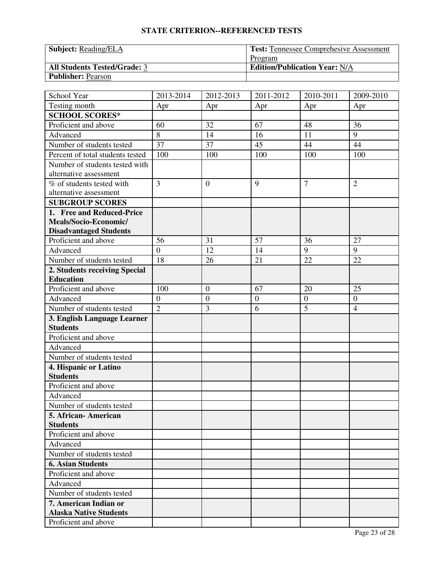| <b>Subject: Reading/ELA</b>         | <b>Test: Tennessee Comprehesive Assessment</b> |
|-------------------------------------|------------------------------------------------|
|                                     | Program                                        |
| <b>All Students Tested/Grade: 3</b> | <b>Edition/Publication Year: N/A</b>           |
| <b>Publisher: Pearson</b>           |                                                |

| School Year                      | 2013-2014        | 2012-2013        | 2011-2012        | 2010-2011      | 2009-2010        |
|----------------------------------|------------------|------------------|------------------|----------------|------------------|
| Testing month                    | Apr              | Apr              | Apr              | Apr            | Apr              |
| <b>SCHOOL SCORES*</b>            |                  |                  |                  |                |                  |
| Proficient and above             | 60               | 32               | 67               | 48             | 36               |
| Advanced                         | 8                | 14               | 16               | 11             | 9                |
| Number of students tested        | 37               | 37               | 45               | 44             | 44               |
| Percent of total students tested | 100              | 100              | 100              | 100            | 100              |
| Number of students tested with   |                  |                  |                  |                |                  |
| alternative assessment           |                  |                  |                  |                |                  |
| % of students tested with        | $\overline{3}$   | $\mathbf{0}$     | 9                | $\overline{7}$ | $\overline{2}$   |
| alternative assessment           |                  |                  |                  |                |                  |
| <b>SUBGROUP SCORES</b>           |                  |                  |                  |                |                  |
| 1. Free and Reduced-Price        |                  |                  |                  |                |                  |
| Meals/Socio-Economic/            |                  |                  |                  |                |                  |
| <b>Disadvantaged Students</b>    |                  |                  |                  |                |                  |
| Proficient and above             | 56               | 31               | 57               | 36             | 27               |
| Advanced                         | $\overline{0}$   | 12               | 14               | 9              | 9                |
| Number of students tested        | 18               | 26               | 21               | 22             | 22               |
| 2. Students receiving Special    |                  |                  |                  |                |                  |
| <b>Education</b>                 |                  |                  |                  |                |                  |
| Proficient and above             | 100              | $\boldsymbol{0}$ | 67               | 20             | 25               |
| Advanced                         | $\boldsymbol{0}$ | $\boldsymbol{0}$ | $\boldsymbol{0}$ | $\overline{0}$ | $\boldsymbol{0}$ |
| Number of students tested        | $\overline{2}$   | 3                | 6                | $\overline{5}$ | $\overline{4}$   |
| 3. English Language Learner      |                  |                  |                  |                |                  |
| <b>Students</b>                  |                  |                  |                  |                |                  |
| Proficient and above             |                  |                  |                  |                |                  |
| Advanced                         |                  |                  |                  |                |                  |
| Number of students tested        |                  |                  |                  |                |                  |
| 4. Hispanic or Latino            |                  |                  |                  |                |                  |
| <b>Students</b>                  |                  |                  |                  |                |                  |
| Proficient and above             |                  |                  |                  |                |                  |
| Advanced                         |                  |                  |                  |                |                  |
| Number of students tested        |                  |                  |                  |                |                  |
| 5. African-American              |                  |                  |                  |                |                  |
| <b>Students</b>                  |                  |                  |                  |                |                  |
| Proficient and above             |                  |                  |                  |                |                  |
| Advanced                         |                  |                  |                  |                |                  |
| Number of students tested        |                  |                  |                  |                |                  |
| <b>6. Asian Students</b>         |                  |                  |                  |                |                  |
| Proficient and above             |                  |                  |                  |                |                  |
| Advanced                         |                  |                  |                  |                |                  |
| Number of students tested        |                  |                  |                  |                |                  |
| 7. American Indian or            |                  |                  |                  |                |                  |
| <b>Alaska Native Students</b>    |                  |                  |                  |                |                  |
| Proficient and above             |                  |                  |                  |                |                  |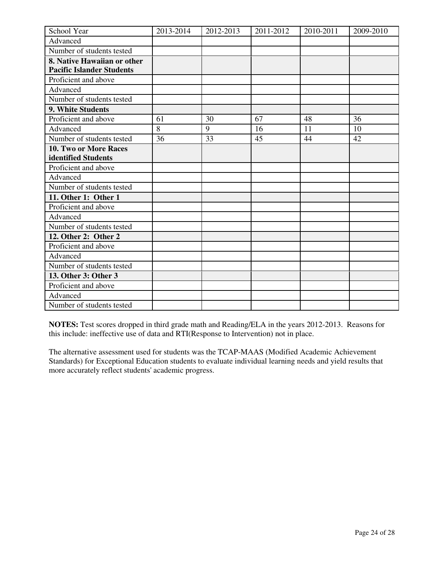| School Year                      | 2013-2014 | 2012-2013 | 2011-2012 | 2010-2011 | 2009-2010 |
|----------------------------------|-----------|-----------|-----------|-----------|-----------|
| Advanced                         |           |           |           |           |           |
| Number of students tested        |           |           |           |           |           |
| 8. Native Hawaiian or other      |           |           |           |           |           |
| <b>Pacific Islander Students</b> |           |           |           |           |           |
| Proficient and above             |           |           |           |           |           |
| Advanced                         |           |           |           |           |           |
| Number of students tested        |           |           |           |           |           |
| 9. White Students                |           |           |           |           |           |
| Proficient and above             | 61        | 30        | 67        | 48        | 36        |
| Advanced                         | 8         | 9         | 16        | 11        | 10        |
| Number of students tested        | 36        | 33        | 45        | 44        | 42        |
| 10. Two or More Races            |           |           |           |           |           |
| identified Students              |           |           |           |           |           |
| Proficient and above             |           |           |           |           |           |
| Advanced                         |           |           |           |           |           |
| Number of students tested        |           |           |           |           |           |
| 11. Other 1: Other 1             |           |           |           |           |           |
| Proficient and above             |           |           |           |           |           |
| Advanced                         |           |           |           |           |           |
| Number of students tested        |           |           |           |           |           |
| 12. Other 2: Other 2             |           |           |           |           |           |
| Proficient and above             |           |           |           |           |           |
| Advanced                         |           |           |           |           |           |
| Number of students tested        |           |           |           |           |           |
| 13. Other 3: Other 3             |           |           |           |           |           |
| Proficient and above             |           |           |           |           |           |
| Advanced                         |           |           |           |           |           |
| Number of students tested        |           |           |           |           |           |

**NOTES:** Test scores dropped in third grade math and Reading/ELA in the years 2012-2013. Reasons for this include: ineffective use of data and RTI(Response to Intervention) not in place.

The alternative assessment used for students was the TCAP-MAAS (Modified Academic Achievement Standards) for Exceptional Education students to evaluate individual learning needs and yield results that more accurately reflect students' academic progress.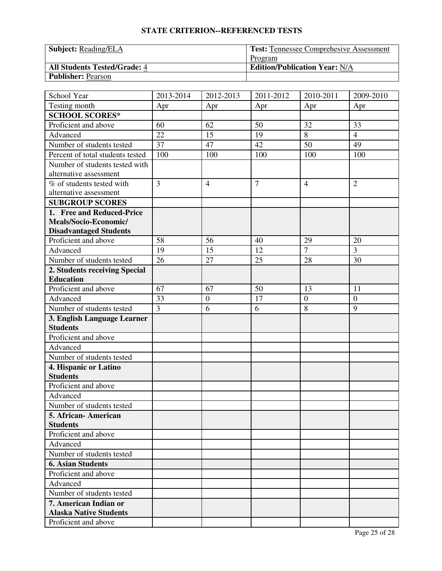| <b>Subject: Reading/ELA</b>         | <b>Test: Tennessee Comprehesive Assessment</b> |
|-------------------------------------|------------------------------------------------|
|                                     | Program                                        |
| <b>All Students Tested/Grade: 4</b> | <b>Edition/Publication Year: N/A</b>           |
| <b>Publisher: Pearson</b>           |                                                |

| School Year                      | 2013-2014      | 2012-2013        | 2011-2012      | 2010-2011      | 2009-2010        |
|----------------------------------|----------------|------------------|----------------|----------------|------------------|
| Testing month                    | Apr            | Apr              | Apr            | Apr            | Apr              |
| <b>SCHOOL SCORES*</b>            |                |                  |                |                |                  |
| Proficient and above             | 60             | 62               | 50             | 32             | 33               |
| Advanced                         | 22             | 15               | 19             | 8              | $\overline{4}$   |
| Number of students tested        | 37             | 47               | 42             | 50             | 49               |
| Percent of total students tested | 100            | 100              | 100            | 100            | 100              |
| Number of students tested with   |                |                  |                |                |                  |
| alternative assessment           |                |                  |                |                |                  |
| % of students tested with        | $\overline{3}$ | $\overline{4}$   | $\overline{7}$ | $\overline{4}$ | $\overline{2}$   |
| alternative assessment           |                |                  |                |                |                  |
| <b>SUBGROUP SCORES</b>           |                |                  |                |                |                  |
| 1. Free and Reduced-Price        |                |                  |                |                |                  |
| Meals/Socio-Economic/            |                |                  |                |                |                  |
| <b>Disadvantaged Students</b>    |                |                  |                |                |                  |
| Proficient and above             | 58             | 56               | 40             | 29             | 20               |
| Advanced                         | 19             | 15               | 12             | $\overline{7}$ | 3                |
| Number of students tested        | 26             | 27               | 25             | 28             | 30               |
| 2. Students receiving Special    |                |                  |                |                |                  |
| <b>Education</b>                 |                |                  |                |                |                  |
| Proficient and above             | 67             | 67               | 50             | 13             | 11               |
| Advanced                         | 33             | $\boldsymbol{0}$ | 17             | $\overline{0}$ | $\boldsymbol{0}$ |
| Number of students tested        | $\overline{3}$ | 6                | 6              | 8              | 9                |
| 3. English Language Learner      |                |                  |                |                |                  |
| <b>Students</b>                  |                |                  |                |                |                  |
| Proficient and above             |                |                  |                |                |                  |
| Advanced                         |                |                  |                |                |                  |
| Number of students tested        |                |                  |                |                |                  |
| 4. Hispanic or Latino            |                |                  |                |                |                  |
| <b>Students</b>                  |                |                  |                |                |                  |
| Proficient and above             |                |                  |                |                |                  |
| Advanced                         |                |                  |                |                |                  |
| Number of students tested        |                |                  |                |                |                  |
| 5. African-American              |                |                  |                |                |                  |
| <b>Students</b>                  |                |                  |                |                |                  |
| Proficient and above             |                |                  |                |                |                  |
| Advanced                         |                |                  |                |                |                  |
| Number of students tested        |                |                  |                |                |                  |
| <b>6. Asian Students</b>         |                |                  |                |                |                  |
| Proficient and above             |                |                  |                |                |                  |
| Advanced                         |                |                  |                |                |                  |
| Number of students tested        |                |                  |                |                |                  |
| 7. American Indian or            |                |                  |                |                |                  |
| <b>Alaska Native Students</b>    |                |                  |                |                |                  |
| Proficient and above             |                |                  |                |                |                  |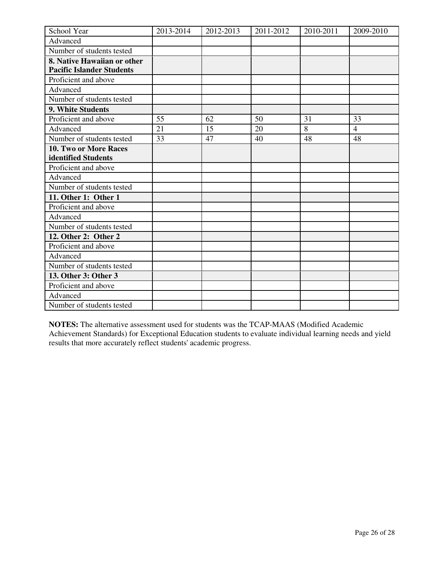| School Year                      | 2013-2014 | 2012-2013 | 2011-2012 | 2010-2011 | 2009-2010      |
|----------------------------------|-----------|-----------|-----------|-----------|----------------|
| Advanced                         |           |           |           |           |                |
| Number of students tested        |           |           |           |           |                |
| 8. Native Hawaiian or other      |           |           |           |           |                |
| <b>Pacific Islander Students</b> |           |           |           |           |                |
| Proficient and above             |           |           |           |           |                |
| Advanced                         |           |           |           |           |                |
| Number of students tested        |           |           |           |           |                |
| 9. White Students                |           |           |           |           |                |
| Proficient and above             | 55        | 62        | 50        | 31        | 33             |
| Advanced                         | 21        | 15        | 20        | 8         | $\overline{4}$ |
| Number of students tested        | 33        | 47        | 40        | 48        | 48             |
| 10. Two or More Races            |           |           |           |           |                |
| identified Students              |           |           |           |           |                |
| Proficient and above             |           |           |           |           |                |
| Advanced                         |           |           |           |           |                |
| Number of students tested        |           |           |           |           |                |
| 11. Other 1: Other 1             |           |           |           |           |                |
| Proficient and above             |           |           |           |           |                |
| Advanced                         |           |           |           |           |                |
| Number of students tested        |           |           |           |           |                |
| 12. Other 2: Other 2             |           |           |           |           |                |
| Proficient and above             |           |           |           |           |                |
| Advanced                         |           |           |           |           |                |
| Number of students tested        |           |           |           |           |                |
| 13. Other 3: Other 3             |           |           |           |           |                |
| Proficient and above             |           |           |           |           |                |
| Advanced                         |           |           |           |           |                |
| Number of students tested        |           |           |           |           |                |

**NOTES:** The alternative assessment used for students was the TCAP-MAAS (Modified Academic Achievement Standards) for Exceptional Education students to evaluate individual learning needs and yield results that more accurately reflect students' academic progress.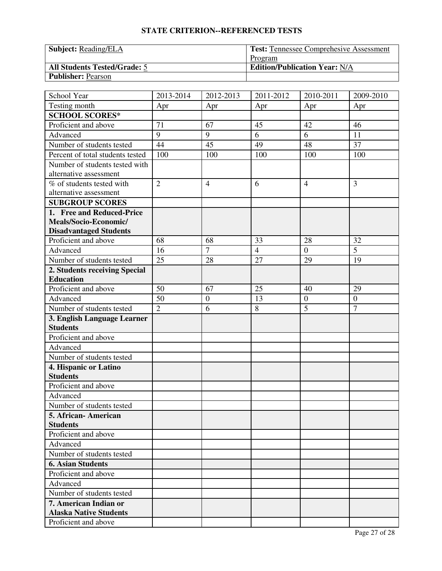| <b>Subject: Reading/ELA</b>         | <b>Test: Tennessee Comprehesive Assessment</b> |
|-------------------------------------|------------------------------------------------|
|                                     | Program                                        |
| <b>All Students Tested/Grade: 5</b> | <b>Edition/Publication Year: N/A</b>           |
| <b>Publisher: Pearson</b>           |                                                |

| School Year                      | 2013-2014      | 2012-2013        | 2011-2012      | 2010-2011        | 2009-2010        |
|----------------------------------|----------------|------------------|----------------|------------------|------------------|
| Testing month                    | Apr            | Apr              | Apr            | Apr              | Apr              |
| <b>SCHOOL SCORES*</b>            |                |                  |                |                  |                  |
| Proficient and above             | 71             | 67               | 45             | 42               | 46               |
| Advanced                         | 9              | 9                | 6              | 6                | 11               |
| Number of students tested        | 44             | 45               | 49             | 48               | 37               |
| Percent of total students tested | 100            | 100              | 100            | 100              | 100              |
| Number of students tested with   |                |                  |                |                  |                  |
| alternative assessment           |                |                  |                |                  |                  |
| % of students tested with        | $\overline{2}$ | $\overline{4}$   | 6              | $\overline{4}$   | 3                |
| alternative assessment           |                |                  |                |                  |                  |
| <b>SUBGROUP SCORES</b>           |                |                  |                |                  |                  |
| 1. Free and Reduced-Price        |                |                  |                |                  |                  |
| Meals/Socio-Economic/            |                |                  |                |                  |                  |
| <b>Disadvantaged Students</b>    |                |                  |                |                  |                  |
| Proficient and above             | 68             | 68               | 33             | 28               | 32               |
| Advanced                         | 16             | $\overline{7}$   | $\overline{4}$ | $\boldsymbol{0}$ | 5                |
| Number of students tested        | 25             | 28               | 27             | 29               | 19               |
| 2. Students receiving Special    |                |                  |                |                  |                  |
| <b>Education</b>                 |                |                  |                |                  |                  |
| Proficient and above             | 50             | 67               | 25             | 40               | 29               |
| Advanced                         | 50             | $\boldsymbol{0}$ | 13             | $\overline{0}$   | $\boldsymbol{0}$ |
| Number of students tested        | $\overline{2}$ | 6                | 8              | 5                | $\overline{7}$   |
| 3. English Language Learner      |                |                  |                |                  |                  |
| <b>Students</b>                  |                |                  |                |                  |                  |
| Proficient and above             |                |                  |                |                  |                  |
| Advanced                         |                |                  |                |                  |                  |
| Number of students tested        |                |                  |                |                  |                  |
| 4. Hispanic or Latino            |                |                  |                |                  |                  |
| <b>Students</b>                  |                |                  |                |                  |                  |
| Proficient and above             |                |                  |                |                  |                  |
| Advanced                         |                |                  |                |                  |                  |
| Number of students tested        |                |                  |                |                  |                  |
| 5. African - American            |                |                  |                |                  |                  |
| <b>Students</b>                  |                |                  |                |                  |                  |
| Proficient and above             |                |                  |                |                  |                  |
| Advanced                         |                |                  |                |                  |                  |
| Number of students tested        |                |                  |                |                  |                  |
| <b>6. Asian Students</b>         |                |                  |                |                  |                  |
| Proficient and above             |                |                  |                |                  |                  |
| Advanced                         |                |                  |                |                  |                  |
| Number of students tested        |                |                  |                |                  |                  |
| 7. American Indian or            |                |                  |                |                  |                  |
| <b>Alaska Native Students</b>    |                |                  |                |                  |                  |
| Proficient and above             |                |                  |                |                  |                  |